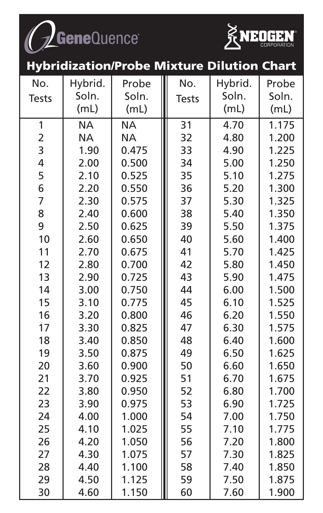



|                         |           | <b>Hybridization/Probe Mixture Dilution Chart</b> |              |         |       |
|-------------------------|-----------|---------------------------------------------------|--------------|---------|-------|
| No.                     | Hybrid.   | Probe                                             | No.          | Hybrid. | Probe |
| <b>Tests</b>            | Soln.     | Soln.                                             | <b>Tests</b> | Soln.   | Soln. |
|                         | (mL)      | (mL)                                              |              | (mL)    | (mL)  |
| 1                       | <b>NA</b> | <b>NA</b>                                         | 31           | 4.70    | 1.175 |
| $\overline{\mathbf{c}}$ | <b>NA</b> | <b>NA</b>                                         | 32           | 4.80    | 1.200 |
| 3                       | 1.90      | 0.475                                             | 33           | 4.90    | 1.225 |
| 4                       | 2.00      | 0.500                                             | 34           | 5.00    | 1.250 |
| 5                       | 2.10      | 0.525                                             | 35           | 5.10    | 1.275 |
| 6                       | 2.20      | 0.550                                             | 36           | 5.20    | 1.300 |
| $\overline{7}$          | 2.30      | 0.575                                             | 37           | 5.30    | 1.325 |
| 8                       | 2.40      | 0.600                                             | 38           | 5.40    | 1.350 |
| 9                       | 2.50      | 0.625                                             | 39           | 5.50    | 1.375 |
| 10                      | 2.60      | 0.650                                             | 40           | 5.60    | 1.400 |
| 11                      | 2.70      | 0.675                                             | 41           | 5.70    | 1.425 |
| 12                      | 2.80      | 0.700                                             | 42           | 5.80    | 1.450 |
| 13                      | 2.90      | 0.725                                             | 43           | 5.90    | 1.475 |
| 14                      | 3.00      | 0.750                                             | 44           | 6.00    | 1.500 |
| 15                      | 3.10      | 0.775                                             | 45           | 6.10    | 1.525 |
| 16                      | 3.20      | 0.800                                             | 46           | 6.20    | 1.550 |
| 17                      | 3.30      | 0.825                                             | 47           | 6.30    | 1.575 |
| 18                      | 3.40      | 0.850                                             | 48           | 6.40    | 1.600 |
| 19                      | 3.50      | 0.875                                             | 49           | 6.50    | 1.625 |
| 20                      | 3.60      | 0.900                                             | 50           | 6.60    | 1.650 |
| 21                      | 3.70      | 0.925                                             | 51           | 6.70    | 1.675 |
| 22                      | 3.80      | 0.950                                             | 52           | 6.80    | 1.700 |
| 23                      | 3.90      | 0.975                                             | 53           | 6.90    | 1.725 |
| 24                      | 4.00      | 1.000                                             | 54           | 7.00    | 1.750 |
| 25                      | 4.10      | 1.025                                             | 55           | 7.10    | 1.775 |
| 26                      | 4.20      | 1.050                                             | 56           | 7.20    | 1.800 |
| 27                      | 4.30      | 1.075                                             | 57           | 7.30    | 1.825 |
| 28                      | 4.40      | 1.100                                             | 58           | 7.40    | 1.850 |

29 | 4.50 | 1.125 ||| 59 | 7.50 | 1.875 30 | 4.60 | 1.150 ||| 60 | 7.60 | 1.900